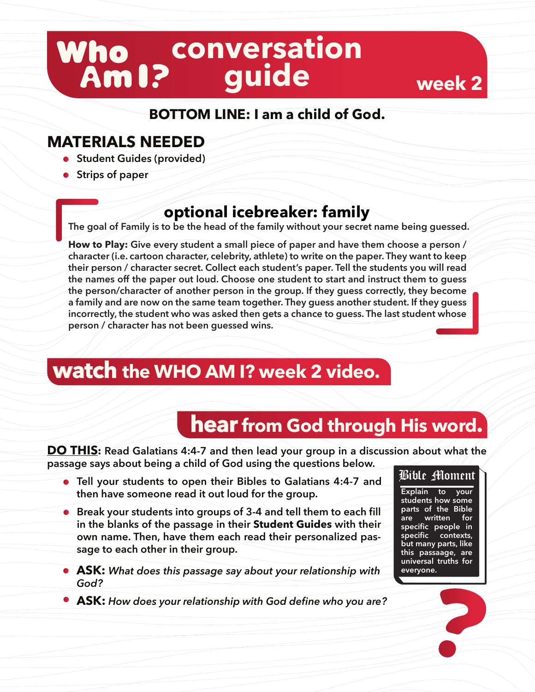# **conversation guide**

#### **BOTTOM LINE: I am a child of God.**

#### **MATERIALS NEEDED**

- **•** Student Guides (provided)
- **Strips of paper**

### **optional icebreaker: family**

**The goal of Family is to be the head of the family without your secret name being guessed.**

**How to Play: Give every student a small piece of paper and have them choose a person / character (i.e. cartoon character, celebrity, athlete) to write on the paper. They want to keep their person / character secret. Collect each student's paper. Tell the students you will read the names off the paper out loud. Choose one student to start and instruct them to guess the person/character of another person in the group. If they guess correctly, they become a family and are now on the same team together. They guess another student. If they guess incorrectly, the student who was asked then gets a chance to guess. The last student whose person / character has not been guessed wins.** 

## **watch the WHO AM I? week 2 video.**

## **hear from God through His word.**

**DO THIS: Read Galatians 4:4-7 and then lead your group in a discussion about what the passage says about being a child of God using the questions below.**

- **Tell your students to open their Bibles to Galatians 4:4-7 and then have someone read it out loud for the group.**
- **•** Break your students into groups of 3-4 and tell them to each fill **in the blanks of the passage in their Student Guides with their own name. Then, have them each read their personalized passage to each other in their group.**
- **ASK:** *What does this passage say about your relationship with God?*
- **ASK:** *How does your relationship with God define who you are?*



**week 2**